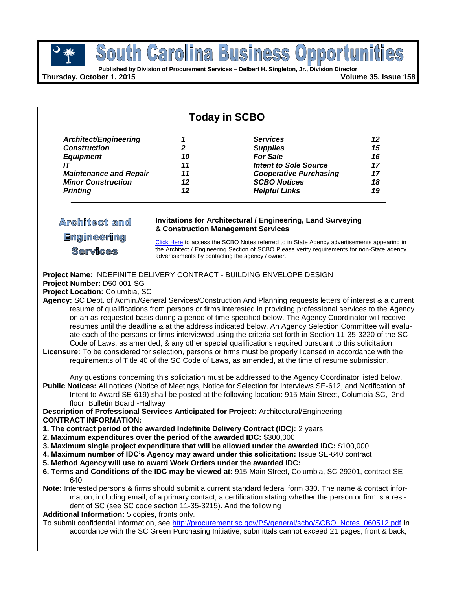**Published by Division of Procurement Services – Delbert H. Singleton, Jr., Division Director**

**Thursday, October 1, 2015 Volume 35, Issue 158**

| <b>Today in SCBO</b>                                                                                                                                                                                                                                                                                                                                                                                                                                                                                                                                                                                                                                                                                                                                                                                                                                                                                                                                                                                                                                                                                                                                                                                                                                                                                                                                                                                                                                                                                                                                                                                                                                                                                                                                                                                                                                                                                                                                                                                                                                                                                                                                                                                                                                                                                                                                                                                                                                                                                                                                                                                                                                            |                                                                                                                                                                                                                                                |                                                                                                                                                                       |                                        |
|-----------------------------------------------------------------------------------------------------------------------------------------------------------------------------------------------------------------------------------------------------------------------------------------------------------------------------------------------------------------------------------------------------------------------------------------------------------------------------------------------------------------------------------------------------------------------------------------------------------------------------------------------------------------------------------------------------------------------------------------------------------------------------------------------------------------------------------------------------------------------------------------------------------------------------------------------------------------------------------------------------------------------------------------------------------------------------------------------------------------------------------------------------------------------------------------------------------------------------------------------------------------------------------------------------------------------------------------------------------------------------------------------------------------------------------------------------------------------------------------------------------------------------------------------------------------------------------------------------------------------------------------------------------------------------------------------------------------------------------------------------------------------------------------------------------------------------------------------------------------------------------------------------------------------------------------------------------------------------------------------------------------------------------------------------------------------------------------------------------------------------------------------------------------------------------------------------------------------------------------------------------------------------------------------------------------------------------------------------------------------------------------------------------------------------------------------------------------------------------------------------------------------------------------------------------------------------------------------------------------------------------------------------------------|------------------------------------------------------------------------------------------------------------------------------------------------------------------------------------------------------------------------------------------------|-----------------------------------------------------------------------------------------------------------------------------------------------------------------------|----------------------------------------|
| Architect/Engineering<br><b>Construction</b><br><b>Equipment</b><br>IΤ<br><b>Maintenance and Repair</b><br><b>Minor Construction</b><br><b>Printing</b>                                                                                                                                                                                                                                                                                                                                                                                                                                                                                                                                                                                                                                                                                                                                                                                                                                                                                                                                                                                                                                                                                                                                                                                                                                                                                                                                                                                                                                                                                                                                                                                                                                                                                                                                                                                                                                                                                                                                                                                                                                                                                                                                                                                                                                                                                                                                                                                                                                                                                                         | 1<br>$\mathbf{2}$<br>10<br>11<br>11<br>12<br>12                                                                                                                                                                                                | <b>Services</b><br><b>Supplies</b><br><b>For Sale</b><br><b>Intent to Sole Source</b><br><b>Cooperative Purchasing</b><br><b>SCBO Notices</b><br><b>Helpful Links</b> | 12<br>15<br>16<br>17<br>17<br>18<br>19 |
| <b>Architect and</b>                                                                                                                                                                                                                                                                                                                                                                                                                                                                                                                                                                                                                                                                                                                                                                                                                                                                                                                                                                                                                                                                                                                                                                                                                                                                                                                                                                                                                                                                                                                                                                                                                                                                                                                                                                                                                                                                                                                                                                                                                                                                                                                                                                                                                                                                                                                                                                                                                                                                                                                                                                                                                                            | <b>Invitations for Architectural / Engineering, Land Surveying</b><br>& Construction Management Services                                                                                                                                       |                                                                                                                                                                       |                                        |
| Engineering<br><b>Services</b>                                                                                                                                                                                                                                                                                                                                                                                                                                                                                                                                                                                                                                                                                                                                                                                                                                                                                                                                                                                                                                                                                                                                                                                                                                                                                                                                                                                                                                                                                                                                                                                                                                                                                                                                                                                                                                                                                                                                                                                                                                                                                                                                                                                                                                                                                                                                                                                                                                                                                                                                                                                                                                  | Click Here to access the SCBO Notes referred to in State Agency advertisements appearing in<br>the Architect / Engineering Section of SCBO Please verify requirements for non-State agency<br>advertisements by contacting the agency / owner. |                                                                                                                                                                       |                                        |
| Project Name: INDEFINITE DELIVERY CONTRACT - BUILDING ENVELOPE DESIGN<br>Project Number: D50-001-SG<br>Project Location: Columbia, SC<br>Agency: SC Dept. of Admin./General Services/Construction And Planning requests letters of interest & a current<br>resume of qualifications from persons or firms interested in providing professional services to the Agency<br>on an as-requested basis during a period of time specified below. The Agency Coordinator will receive<br>resumes until the deadline & at the address indicated below. An Agency Selection Committee will evalu-<br>ate each of the persons or firms interviewed using the criteria set forth in Section 11-35-3220 of the SC<br>Code of Laws, as amended, & any other special qualifications required pursuant to this solicitation.<br>Licensure: To be considered for selection, persons or firms must be properly licensed in accordance with the<br>requirements of Title 40 of the SC Code of Laws, as amended, at the time of resume submission.<br>Any questions concerning this solicitation must be addressed to the Agency Coordinator listed below.<br>Public Notices: All notices (Notice of Meetings, Notice for Selection for Interviews SE-612, and Notification of<br>Intent to Award SE-619) shall be posted at the following location: 915 Main Street, Columbia SC, 2nd<br>floor Bulletin Board -Hallway<br>Description of Professional Services Anticipated for Project: Architectural/Engineering<br><b>CONTRACT INFORMATION:</b><br>1. The contract period of the awarded Indefinite Delivery Contract (IDC): 2 years<br>2. Maximum expenditures over the period of the awarded IDC: \$300,000<br>3. Maximum single project expenditure that will be allowed under the awarded IDC: \$100,000<br>4. Maximum number of IDC's Agency may award under this solicitation: Issue SE-640 contract<br>5. Method Agency will use to award Work Orders under the awarded IDC:<br>6. Terms and Conditions of the IDC may be viewed at: 915 Main Street, Columbia, SC 29201, contract SE-<br>640<br>Note: Interested persons & firms should submit a current standard federal form 330. The name & contact infor-<br>mation, including email, of a primary contact; a certification stating whether the person or firm is a resi-<br>dent of SC (see SC code section 11-35-3215). And the following<br>Additional Information: 5 copies, fronts only.<br>To submit confidential information, see http://procurement.sc.gov/PS/general/scbo/SCBO_Notes_060512.pdf In<br>accordance with the SC Green Purchasing Initiative, submittals cannot exceed 21 pages, front & back, |                                                                                                                                                                                                                                                |                                                                                                                                                                       |                                        |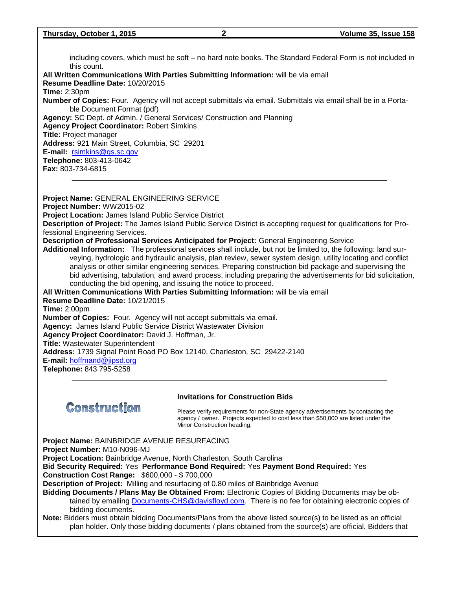including covers, which must be soft – no hard note books. The Standard Federal Form is not included in this count. **All Written Communications With Parties Submitting Information:** will be via email **Resume Deadline Date:** 10/20/2015 **Time:** 2:30pm **Number of Copies:** Four. Agency will not accept submittals via email. Submittals via email shall be in a Portable Document Format (pdf) **Agency:** SC Dept. of Admin. / General Services/ Construction and Planning **Agency Project Coordinator:** Robert Simkins **Title:** Project manager **Address:** 921 Main Street, Columbia, SC 29201 **E-mail:** [rsimkins@gs.sc.gov](mailto:rsimkins@gs.sc.gov) **Telephone:** 803-413-0642 **Fax:** 803-734-6815 **Project Name:** GENERAL ENGINEERING SERVICE **Project Number:** WW2015-02

**Project Location:** James Island Public Service District

**Description of Project:** The James Island Public Service District is accepting request for qualifications for Professional Engineering Services.

#### **Description of Professional Services Anticipated for Project:** General Engineering Service

**Additional Information:** The professional services shall include, but not be limited to, the following: land surveying, hydrologic and hydraulic analysis, plan review, sewer system design, utility locating and conflict analysis or other similar engineering services. Preparing construction bid package and supervising the bid advertising, tabulation, and award process, including preparing the advertisements for bid solicitation, conducting the bid opening, and issuing the notice to proceed.

**All Written Communications With Parties Submitting Information:** will be via email **Resume Deadline Date:** 10/21/2015 **Time:** 2:00pm **Number of Copies:** Four. Agency will not accept submittals via email. **Agency:** James Island Public Service District Wastewater Division **Agency Project Coordinator:** David J. Hoffman, Jr. **Title:** Wastewater Superintendent **Address:** 1739 Signal Point Road PO Box 12140, Charleston, SC 29422-2140 **E-mail:** [hoffmand@jipsd.org](mailto:hoffmand@jipsd.org) **Telephone:** 843 795-5258



#### **Invitations for Construction Bids**

Please verify requirements for non-State agency advertisements by contacting the agency / owner. Projects expected to cost less than \$50,000 are listed under the Minor Construction heading.

**Project Name:** BAINBRIDGE AVENUE RESURFACING **Project Number:** M10-N096-MJ **Project Location:** Bainbridge Avenue, North Charleston, South Carolina **Bid Security Required:** Yes **Performance Bond Required:** Yes **Payment Bond Required:** Yes **Construction Cost Range:** \$600,000 - \$ 700,000 **Description of Project:** Milling and resurfacing of 0.80 miles of Bainbridge Avenue **Bidding Documents / Plans May Be Obtained From:** Electronic Copies of Bidding Documents may be obtained by emailing [Documents-CHS@davisfloyd.com.](mailto:Documents-CHS@davisfloyd.com) There is no fee for obtaining electronic copies of bidding documents. **Note:** Bidders must obtain bidding Documents/Plans from the above listed source(s) to be listed as an official plan holder. Only those bidding documents / plans obtained from the source(s) are official. Bidders that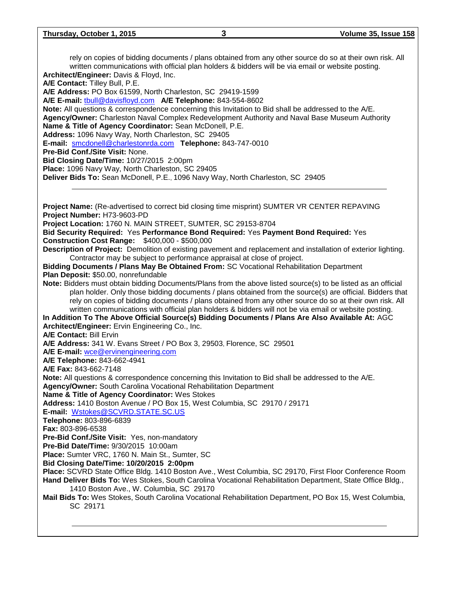rely on copies of bidding documents / plans obtained from any other source do so at their own risk. All written communications with official plan holders & bidders will be via email or website posting. **Architect/Engineer:** Davis & Floyd, Inc.

**A/E Contact:** Tilley Bull, P.E.

**A/E Address:** PO Box 61599, North Charleston, SC 29419-1599

**A/E E-mail:** [tbull@davisfloyd.com](mailto:tbull@davisfloyd.com) **A/E Telephone:** 843-554-8602

**Note:** All questions & correspondence concerning this Invitation to Bid shall be addressed to the A/E. **Agency/Owner:** Charleston Naval Complex Redevelopment Authority and Naval Base Museum Authority **Name & Title of Agency Coordinator:** Sean McDonell, P.E.

**Address:** 1096 Navy Way, North Charleston, SC 29405

**E-mail:** [smcdonell@charlestonrda.com](mailto:smcdonell@charlestonrda.com) **Telephone:** 843-747-0010

**Pre-Bid Conf./Site Visit:** None.

**Bid Closing Date/Time:** 10/27/2015 2:00pm

**Place:** 1096 Navy Way, North Charleston, SC 29405

**Deliver Bids To:** Sean McDonell, P.E., 1096 Navy Way, North Charleston, SC 29405

**Project Name:** (Re-advertised to correct bid closing time misprint) SUMTER VR CENTER REPAVING **Project Number:** H73-9603-PD **Project Location:** 1760 N. MAIN STREET, SUMTER, SC 29153-8704 **Bid Security Required:** Yes **Performance Bond Required:** Yes **Payment Bond Required:** Yes **Construction Cost Range:** \$400,000 - \$500,000 **Description of Project:** Demolition of existing pavement and replacement and installation of exterior lighting. Contractor may be subject to performance appraisal at close of project. **Bidding Documents / Plans May Be Obtained From:** SC Vocational Rehabilitation Department **Plan Deposit:** \$50.00, nonrefundable **Note:** Bidders must obtain bidding Documents/Plans from the above listed source(s) to be listed as an official plan holder. Only those bidding documents / plans obtained from the source(s) are official. Bidders that rely on copies of bidding documents / plans obtained from any other source do so at their own risk. All written communications with official plan holders & bidders will not be via email or website posting. **In Addition To The Above Official Source(s) Bidding Documents / Plans Are Also Available At:** AGC **Architect/Engineer:** Ervin Engineering Co., Inc. **A/E Contact:** Bill Ervin **A/E Address:** 341 W. Evans Street / PO Box 3, 29503, Florence, SC 29501 **A/E E-mail:** [wce@ervinengineering.com](mailto:wce@ervinengineering.com) **A/E Telephone:** 843-662-4941 **A/E Fax:** 843-662-7148 **Note:** All questions & correspondence concerning this Invitation to Bid shall be addressed to the A/E. **Agency/Owner:** South Carolina Vocational Rehabilitation Department **Name & Title of Agency Coordinator:** Wes Stokes **Address:** 1410 Boston Avenue / PO Box 15, West Columbia, SC 29170 / 29171 **E-mail:** [Wstokes@SCVRD.STATE.SC.US](mailto:Wstokes@SCVRD.STATE.SC.US) **Telephone:** 803-896-6839 **Fax:** 803-896-6538 **Pre-Bid Conf./Site Visit:** Yes, non-mandatory **Pre-Bid Date/Time:** 9/30/2015 10:00am **Place:** Sumter VRC, 1760 N. Main St., Sumter, SC **Bid Closing Date/Time: 10/20/2015 2:00pm Place:** SCVRD State Office Bldg. 1410 Boston Ave., West Columbia, SC 29170, First Floor Conference Room **Hand Deliver Bids To:** Wes Stokes, South Carolina Vocational Rehabilitation Department, State Office Bldg., 1410 Boston Ave., W. Columbia, SC 29170 **Mail Bids To:** Wes Stokes, South Carolina Vocational Rehabilitation Department, PO Box 15, West Columbia, SC 29171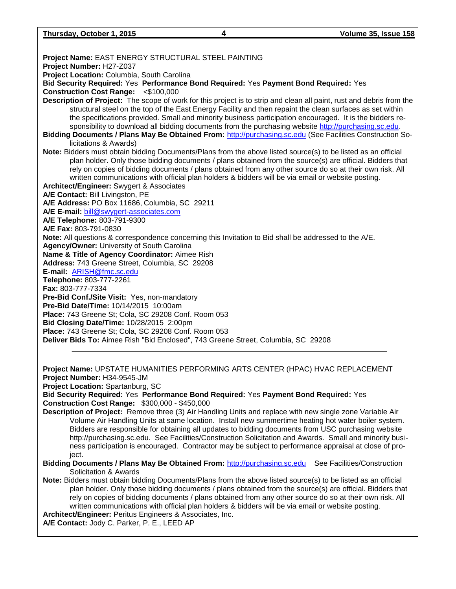**Thursday, October 1, 2015 4 Volume 35, Issue 158**

**Project Name:** EAST ENERGY STRUCTURAL STEEL PAINTING **Project Number:** H27-Z037 **Project Location:** Columbia, South Carolina **Bid Security Required:** Yes **Performance Bond Required:** Yes **Payment Bond Required:** Yes **Construction Cost Range:** <\$100,000 **Description of Project:** The scope of work for this project is to strip and clean all paint, rust and debris from the structural steel on the top of the East Energy Facility and then repaint the clean surfaces as set within the specifications provided. Small and minority business participation encouraged. It is the bidders responsibility to download all bidding documents from the purchasing website [http://purchasing.sc.edu.](http://purchasing.sc.edu/) **Bidding Documents / Plans May Be Obtained From:** [http://purchasing.sc.edu](http://purchasing.sc.edu/) (See Facilities Construction Solicitations & Awards) **Note:** Bidders must obtain bidding Documents/Plans from the above listed source(s) to be listed as an official plan holder. Only those bidding documents / plans obtained from the source(s) are official. Bidders that rely on copies of bidding documents / plans obtained from any other source do so at their own risk. All written communications with official plan holders & bidders will be via email or website posting. **Architect/Engineer:** Swygert & Associates **A/E Contact:** Bill Livingston, PE **A/E Address:** PO Box 11686, Columbia, SC 29211 **A/E E-mail:** [bill@swygert-associates.com](mailto:bill@swygert-associates.com) **A/E Telephone:** 803-791-9300 **A/E Fax:** 803-791-0830 **Note:** All questions & correspondence concerning this Invitation to Bid shall be addressed to the A/E. **Agency/Owner:** University of South Carolina **Name & Title of Agency Coordinator:** Aimee Rish **Address:** 743 Greene Street, Columbia, SC 29208 **E-mail:** [ARISH@fmc.sc.edu](mailto:ARISH@fmc.sc.edu) **Telephone:** 803-777-2261 **Fax:** 803-777-7334 **Pre-Bid Conf./Site Visit:** Yes, non-mandatory **Pre-Bid Date/Time:** 10/14/2015 10:00am **Place:** 743 Greene St; Cola, SC 29208 Conf. Room 053 **Bid Closing Date/Time:** 10/28/2015 2:00pm **Place:** 743 Greene St; Cola, SC 29208 Conf. Room 053 **Deliver Bids To:** Aimee Rish "Bid Enclosed", 743 Greene Street, Columbia, SC 29208

**Project Name:** UPSTATE HUMANITIES PERFORMING ARTS CENTER (HPAC) HVAC REPLACEMENT **Project Number:** H34-9545-JM

**Project Location:** Spartanburg, SC

**Bid Security Required:** Yes **Performance Bond Required:** Yes **Payment Bond Required:** Yes **Construction Cost Range:** \$300,000 - \$450,000

- **Description of Project:** Remove three (3) Air Handling Units and replace with new single zone Variable Air Volume Air Handling Units at same location. Install new summertime heating hot water boiler system. Bidders are responsible for obtaining all updates to bidding documents from USC purchasing website http://purchasing.sc.edu. See Facilities/Construction Solicitation and Awards. Small and minority business participation is encouraged. Contractor may be subject to performance appraisal at close of project.
- **Bidding Documents / Plans May Be Obtained From:** [http://purchasing.sc.edu](http://purchasing.sc.edu/) See Facilities/Construction Solicitation & Awards
- **Note:** Bidders must obtain bidding Documents/Plans from the above listed source(s) to be listed as an official plan holder. Only those bidding documents / plans obtained from the source(s) are official. Bidders that rely on copies of bidding documents / plans obtained from any other source do so at their own risk. All written communications with official plan holders & bidders will be via email or website posting. **Architect/Engineer:** Peritus Engineers & Associates, Inc.

**A/E Contact:** Jody C. Parker, P. E., LEED AP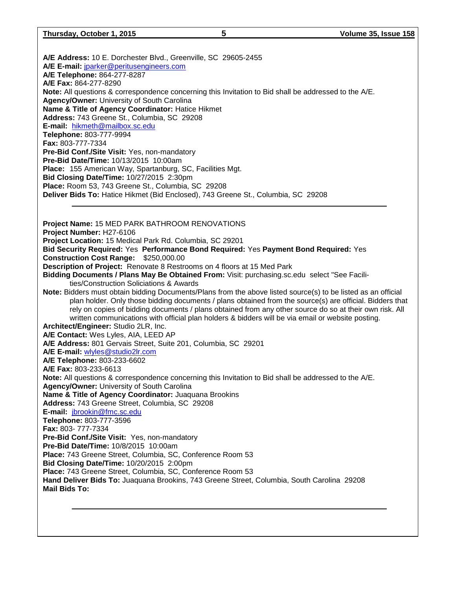**A/E Address:** 10 E. Dorchester Blvd., Greenville, SC 29605-2455 **A/E E-mail:** [jparker@peritusengineers.com](mailto:jparker@peritusengineers.com) **A/E Telephone:** 864-277-8287 **A/E Fax:** 864-277-8290 **Note:** All questions & correspondence concerning this Invitation to Bid shall be addressed to the A/E. **Agency/Owner:** University of South Carolina **Name & Title of Agency Coordinator:** Hatice Hikmet **Address:** 743 Greene St., Columbia, SC 29208 **E-mail:** [hikmeth@mailbox.sc.edu](mailto:hikmeth@mailbox.sc.edu) **Telephone:** 803-777-9994 **Fax:** 803-777-7334 **Pre-Bid Conf./Site Visit:** Yes, non-mandatory **Pre-Bid Date/Time:** 10/13/2015 10:00am **Place:** 155 American Way, Spartanburg, SC, Facilities Mgt. **Bid Closing Date/Time:** 10/27/2015 2:30pm **Place:** Room 53, 743 Greene St., Columbia, SC 29208 **Deliver Bids To:** Hatice Hikmet (Bid Enclosed), 743 Greene St., Columbia, SC 29208 **Project Name:** 15 MED PARK BATHROOM RENOVATIONS **Project Number:** H27-6106 **Project Location:** 15 Medical Park Rd. Columbia, SC 29201 **Bid Security Required:** Yes **Performance Bond Required:** Yes **Payment Bond Required:** Yes **Construction Cost Range:** \$250,000.00 **Description of Project:** Renovate 8 Restrooms on 4 floors at 15 Med Park **Bidding Documents / Plans May Be Obtained From:** Visit: purchasing.sc.edu select "See Facilities/Construction Soliciations & Awards **Note:** Bidders must obtain bidding Documents/Plans from the above listed source(s) to be listed as an official plan holder. Only those bidding documents / plans obtained from the source(s) are official. Bidders that rely on copies of bidding documents / plans obtained from any other source do so at their own risk. All written communications with official plan holders & bidders will be via email or website posting. **Architect/Engineer:** Studio 2LR, Inc. **A/E Contact:** Wes Lyles, AIA, LEED AP **A/E Address:** 801 Gervais Street, Suite 201, Columbia, SC 29201 **A/E E-mail:** [wlyles@studio2lr.com](mailto:wlyles@studio2lr.com) **A/E Telephone:** 803-233-6602 **A/E Fax:** 803-233-6613 **Note:** All questions & correspondence concerning this Invitation to Bid shall be addressed to the A/E. **Agency/Owner:** University of South Carolina **Name & Title of Agency Coordinator:** Juaquana Brookins **Address:** 743 Greene Street, Columbia, SC 29208 **E-mail:** [jbrookin@fmc.sc.edu](mailto:jbrookin@fmc.sc.edu) **Telephone:** 803-777-3596 **Fax:** 803- 777-7334 **Pre-Bid Conf./Site Visit:** Yes, non-mandatory **Pre-Bid Date/Time:** 10/8/2015 10:00am **Place:** 743 Greene Street, Columbia, SC, Conference Room 53 **Bid Closing Date/Time:** 10/20/2015 2:00pm **Place:** 743 Greene Street, Columbia, SC, Conference Room 53 **Hand Deliver Bids To:** Juaquana Brookins, 743 Greene Street, Columbia, South Carolina 29208 **Mail Bids To:**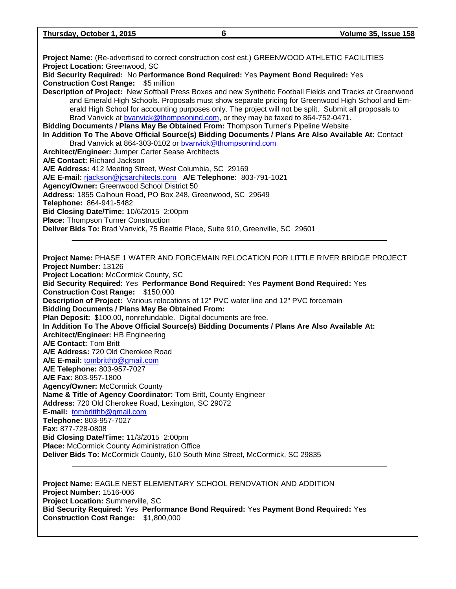**Project Name:** (Re-advertised to correct construction cost est.) GREENWOOD ATHLETIC FACILITIES **Project Location:** Greenwood, SC **Bid Security Required:** No **Performance Bond Required:** Yes **Payment Bond Required:** Yes

**Construction Cost Range:** \$5 million **Description of Project:** New Softball Press Boxes and new Synthetic Football Fields and Tracks at Greenwood and Emerald High Schools. Proposals must show separate pricing for Greenwood High School and Emerald High School for accounting purposes only. The project will not be split. Submit all proposals to Brad Vanvick at byanvick@thompsonind.com, or they may be faxed to 864-752-0471.

**Bidding Documents / Plans May Be Obtained From:** Thompson Turner's Pipeline Website **In Addition To The Above Official Source(s) Bidding Documents / Plans Are Also Available At:** Contact

Brad Vanvick at 864-303-0102 or [bvanvick@thompsonind.com](mailto:bvanvick@thompsonind.com) **Architect/Engineer:** Jumper Carter Sease Architects **A/E Contact:** Richard Jackson **A/E Address:** 412 Meeting Street, West Columbia, SC 29169 **A/E E-mail:** [rjackson@jcsarchitects.com](mailto:rjackson@jcsarchitects.com) **A/E Telephone:** 803-791-1021 **Agency/Owner:** Greenwood School District 50 **Address:** 1855 Calhoun Road, PO Box 248, Greenwood, SC 29649 **Telephone:** 864-941-5482 **Bid Closing Date/Time:** 10/6/2015 2:00pm **Place:** Thompson Turner Construction

**Deliver Bids To:** Brad Vanvick, 75 Beattie Place, Suite 910, Greenville, SC 29601

**Project Name:** PHASE 1 WATER AND FORCEMAIN RELOCATION FOR LITTLE RIVER BRIDGE PROJECT **Project Number:** 13126 **Project Location:** McCormick County, SC **Bid Security Required:** Yes **Performance Bond Required:** Yes **Payment Bond Required:** Yes **Construction Cost Range:** \$150,000 **Description of Project:** Various relocations of 12" PVC water line and 12" PVC forcemain **Bidding Documents / Plans May Be Obtained From: Plan Deposit:** \$100.00, nonrefundable. Digital documents are free. **In Addition To The Above Official Source(s) Bidding Documents / Plans Are Also Available At: Architect/Engineer:** HB Engineering **A/E Contact:** Tom Britt **A/E Address:** 720 Old Cherokee Road **A/E E-mail:** [tombritthb@gmail.com](mailto:tombritthb@gmail.com) **A/E Telephone:** 803-957-7027 **A/E Fax:** 803-957-1800 **Agency/Owner:** McCormick County **Name & Title of Agency Coordinator:** Tom Britt, County Engineer **Address:** 720 Old Cherokee Road, Lexington, SC 29072 **E-mail:** [tombritthb@gmail.com](mailto:tombritthb@gmail.com) **Telephone:** 803-957-7027 **Fax:** 877-728-0808 **Bid Closing Date/Time:** 11/3/2015 2:00pm **Place:** McCormick County Administration Office **Deliver Bids To:** McCormick County, 610 South Mine Street, McCormick, SC 29835

**Project Name:** EAGLE NEST ELEMENTARY SCHOOL RENOVATION AND ADDITION **Project Number:** 1516-006 **Project Location:** Summerville, SC **Bid Security Required:** Yes **Performance Bond Required:** Yes **Payment Bond Required:** Yes **Construction Cost Range:** \$1,800,000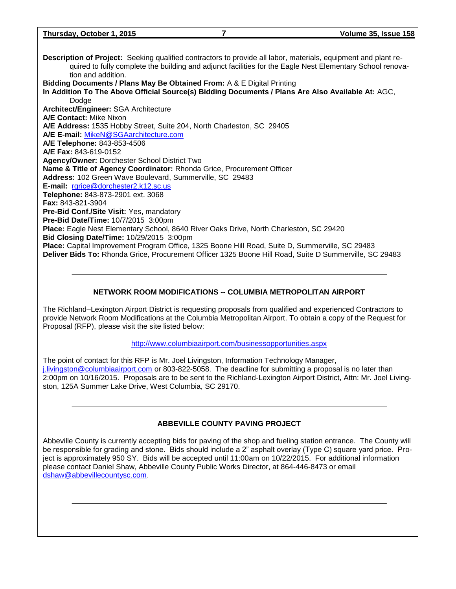| Thursday, October 1, 2015 | Volume 35, Issue 158 |  |
|---------------------------|----------------------|--|
|                           |                      |  |

**Description of Project:** Seeking qualified contractors to provide all labor, materials, equipment and plant required to fully complete the building and adjunct facilities for the Eagle Nest Elementary School renovation and addition. **Bidding Documents / Plans May Be Obtained From:** A & E Digital Printing **In Addition To The Above Official Source(s) Bidding Documents / Plans Are Also Available At:** AGC, Dodge **Architect/Engineer:** SGA Architecture **A/E Contact:** Mike Nixon **A/E Address:** 1535 Hobby Street, Suite 204, North Charleston, SC 29405 **A/E E-mail:** [MikeN@SGAarchitecture.com](mailto:MikeN@SGAarchitecture.com) **A/E Telephone:** 843-853-4506 **A/E Fax:** 843-619-0152 **Agency/Owner:** Dorchester School District Two **Name & Title of Agency Coordinator:** Rhonda Grice, Procurement Officer **Address:** 102 Green Wave Boulevard, Summerville, SC 29483 **E-mail:** [rgrice@dorchester2.k12.sc.us](mailto:rgrice@dorchester2.k12.sc.us) **Telephone:** 843-873-2901 ext. 3068 **Fax:** 843-821-3904 **Pre-Bid Conf./Site Visit:** Yes, mandatory **Pre-Bid Date/Time:** 10/7/2015 3:00pm **Place:** Eagle Nest Elementary School, 8640 River Oaks Drive, North Charleston, SC 29420 **Bid Closing Date/Time:** 10/29/2015 3:00pm

**Place:** Capital Improvement Program Office, 1325 Boone Hill Road, Suite D, Summerville, SC 29483 **Deliver Bids To:** Rhonda Grice, Procurement Officer 1325 Boone Hill Road, Suite D Summerville, SC 29483

### **NETWORK ROOM MODIFICATIONS -- COLUMBIA METROPOLITAN AIRPORT**

The Richland–Lexington Airport District is requesting proposals from qualified and experienced Contractors to provide Network Room Modifications at the Columbia Metropolitan Airport. To obtain a copy of the Request for Proposal (RFP), please visit the site listed below:

#### <http://www.columbiaairport.com/businessopportunities.aspx>

The point of contact for this RFP is Mr. Joel Livingston, Information Technology Manager, [j.livingston@columbiaairport.com](mailto:j.livingston@columbiaairport.com) or 803-822-5058. The deadline for submitting a proposal is no later than 2:00pm on 10/16/2015. Proposals are to be sent to the Richland-Lexington Airport District, Attn: Mr. Joel Livingston, 125A Summer Lake Drive, West Columbia, SC 29170.

#### **ABBEVILLE COUNTY PAVING PROJECT**

Abbeville County is currently accepting bids for paving of the shop and fueling station entrance. The County will be responsible for grading and stone. Bids should include a 2" asphalt overlay (Type C) square yard price. Project is approximately 950 SY. Bids will be accepted until 11:00am on 10/22/2015. For additional information please contact Daniel Shaw, Abbeville County Public Works Director, at 864-446-8473 or email [dshaw@abbevillecountysc.com.](mailto:dshaw@abbevillecountysc.com)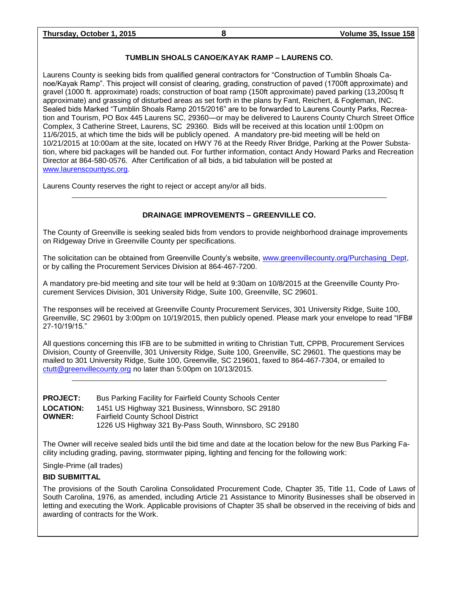## **TUMBLIN SHOALS CANOE/KAYAK RAMP – LAURENS CO.**

Laurens County is seeking bids from qualified general contractors for "Construction of Tumblin Shoals Canoe/Kayak Ramp". This project will consist of clearing, grading, construction of paved (1700ft approximate) and gravel (1000 ft. approximate) roads; construction of boat ramp (150ft approximate) paved parking (13,200sq ft approximate) and grassing of disturbed areas as set forth in the plans by Fant, Reichert, & Fogleman, INC. Sealed bids Marked "Tumblin Shoals Ramp 2015/2016" are to be forwarded to Laurens County Parks, Recreation and Tourism, PO Box 445 Laurens SC, 29360—or may be delivered to Laurens County Church Street Office Complex, 3 Catherine Street, Laurens, SC 29360. Bids will be received at this location until 1:00pm on 11/6/2015, at which time the bids will be publicly opened. A mandatory pre-bid meeting will be held on 10/21/2015 at 10:00am at the site, located on HWY 76 at the Reedy River Bridge, Parking at the Power Substation, where bid packages will be handed out. For further information, contact Andy Howard Parks and Recreation Director at 864-580-0576. After Certification of all bids, a bid tabulation will be posted at [www.laurenscountysc.org.](http://www.laurenscountysc.org/)

Laurens County reserves the right to reject or accept any/or all bids.

## **DRAINAGE IMPROVEMENTS – GREENVILLE CO.**

The County of Greenville is seeking sealed bids from vendors to provide neighborhood drainage improvements on Ridgeway Drive in Greenville County per specifications.

The solicitation can be obtained from Greenville County's website, [www.greenvillecounty.org/Purchasing\\_Dept,](http://www.greenvillecounty.org/Purchasing_Dept) or by calling the Procurement Services Division at 864-467-7200.

A mandatory pre-bid meeting and site tour will be held at 9:30am on 10/8/2015 at the Greenville County Procurement Services Division, 301 University Ridge, Suite 100, Greenville, SC 29601.

The responses will be received at Greenville County Procurement Services, 301 University Ridge, Suite 100, Greenville, SC 29601 by 3:00pm on 10/19/2015, then publicly opened. Please mark your envelope to read "IFB# 27-10/19/15."

All questions concerning this IFB are to be submitted in writing to Christian Tutt, CPPB, Procurement Services Division, County of Greenville, 301 University Ridge, Suite 100, Greenville, SC 29601. The questions may be mailed to 301 University Ridge, Suite 100, Greenville, SC 219601, faxed to 864-467-7304, or emailed to [ctutt@greenvillecounty.org](mailto:ctutt@greenvillecounty.org) no later than 5:00pm on 10/13/2015.

| <b>PROJECT:</b>  | Bus Parking Facility for Fairfield County Schools Center |
|------------------|----------------------------------------------------------|
| <b>LOCATION:</b> | 1451 US Highway 321 Business, Winnsboro, SC 29180        |
| <b>OWNER:</b>    | <b>Fairfield County School District</b>                  |
|                  | 1226 US Highway 321 By-Pass South, Winnsboro, SC 29180   |

The Owner will receive sealed bids until the bid time and date at the location below for the new Bus Parking Facility including grading, paving, stormwater piping, lighting and fencing for the following work:

Single-Prime (all trades)

#### **BID SUBMITTAL**

The provisions of the South Carolina Consolidated Procurement Code, Chapter 35, Title 11, Code of Laws of South Carolina, 1976, as amended, including Article 21 Assistance to Minority Businesses shall be observed in letting and executing the Work. Applicable provisions of Chapter 35 shall be observed in the receiving of bids and awarding of contracts for the Work.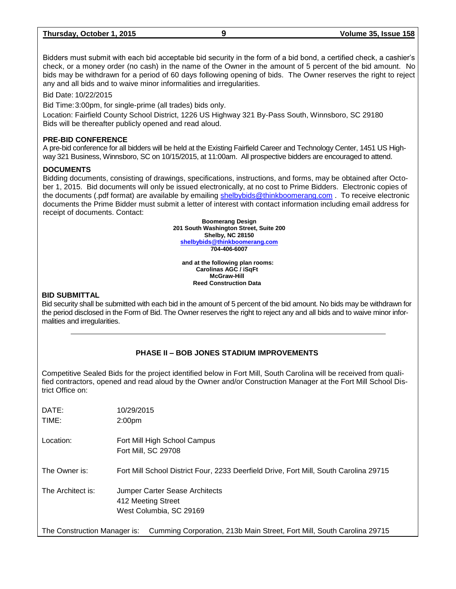| Thursday, October 1, 2015 | Volume 35, Issue 158 |  |
|---------------------------|----------------------|--|
|                           |                      |  |

Bidders must submit with each bid acceptable bid security in the form of a bid bond, a certified check, a cashier's check, or a money order (no cash) in the name of the Owner in the amount of 5 percent of the bid amount. No bids may be withdrawn for a period of 60 days following opening of bids. The Owner reserves the right to reject any and all bids and to waive minor informalities and irregularities.

Bid Date: 10/22/2015

Bid Time:3:00pm, for single-prime (all trades) bids only.

Location: Fairfield County School District, 1226 US Highway 321 By-Pass South, Winnsboro, SC 29180 Bids will be thereafter publicly opened and read aloud.

#### **PRE-BID CONFERENCE**

A pre-bid conference for all bidders will be held at the Existing Fairfield Career and Technology Center, 1451 US Highway 321 Business, Winnsboro, SC on 10/15/2015, at 11:00am. All prospective bidders are encouraged to attend.

#### **DOCUMENTS**

Bidding documents, consisting of drawings, specifications, instructions, and forms, may be obtained after October 1, 2015. Bid documents will only be issued electronically, at no cost to Prime Bidders. Electronic copies of the documents (.pdf format) are available by emailing [shelbybids@thinkboomerang.com](mailto:shelbybids@thinkboomerang.com) . To receive electronic documents the Prime Bidder must submit a letter of interest with contact information including email address for receipt of documents. Contact:

> **Boomerang Design 201 South Washington Street, Suite 200 Shelby, NC 28150 [shelbybids@thinkboomerang.com](mailto:shelbybids@thinkboomerang.com) 704-406-6007**

**and at the following plan rooms: Carolinas AGC / iSqFt McGraw-Hill Reed Construction Data**

#### **BID SUBMITTAL**

Bid security shall be submitted with each bid in the amount of 5 percent of the bid amount. No bids may be withdrawn for the period disclosed in the Form of Bid. The Owner reserves the right to reject any and all bids and to waive minor informalities and irregularities.

## **PHASE II – BOB JONES STADIUM IMPROVEMENTS**

Competitive Sealed Bids for the project identified below in Fort Mill, South Carolina will be received from qualified contractors, opened and read aloud by the Owner and/or Construction Manager at the Fort Mill School District Office on:

| DATE:<br>TIME:               | 10/29/2015<br>2:00 <sub>pm</sub>                                                       |
|------------------------------|----------------------------------------------------------------------------------------|
| Location:                    | Fort Mill High School Campus<br>Fort Mill, SC 29708                                    |
| The Owner is:                | Fort Mill School District Four, 2233 Deerfield Drive, Fort Mill, South Carolina 29715  |
| The Architect is:            | <b>Jumper Carter Sease Architects</b><br>412 Meeting Street<br>West Columbia, SC 29169 |
| The Construction Manager is: | Cumming Corporation, 213h Main Street, Fort Mill, South Carolina 20715                 |

The Construction Manager is: Cumming Corporation, 213b Main Street, Fort Mill, South Carolina 29715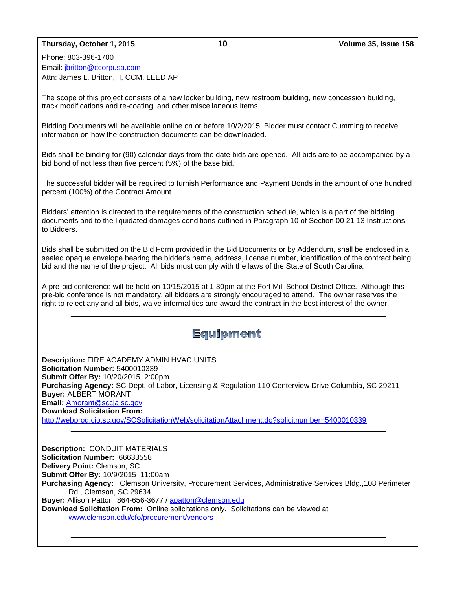#### **Thursday, October 1, 2015 10 Volume 35, Issue 158**

Phone: 803-396-1700 Email: [jbritton@ccorpusa.com](mailto:jbritton@ccorpusa.com) Attn: James L. Britton, II, CCM, LEED AP

The scope of this project consists of a new locker building, new restroom building, new concession building, track modifications and re-coating, and other miscellaneous items.

Bidding Documents will be available online on or before 10/2/2015. Bidder must contact Cumming to receive information on how the construction documents can be downloaded.

Bids shall be binding for (90) calendar days from the date bids are opened. All bids are to be accompanied by a bid bond of not less than five percent (5%) of the base bid.

The successful bidder will be required to furnish Performance and Payment Bonds in the amount of one hundred percent (100%) of the Contract Amount.

Bidders' attention is directed to the requirements of the construction schedule, which is a part of the bidding documents and to the liquidated damages conditions outlined in Paragraph 10 of Section 00 21 13 Instructions to Bidders.

Bids shall be submitted on the Bid Form provided in the Bid Documents or by Addendum, shall be enclosed in a sealed opaque envelope bearing the bidder's name, address, license number, identification of the contract being bid and the name of the project. All bids must comply with the laws of the State of South Carolina.

A pre-bid conference will be held on 10/15/2015 at 1:30pm at the Fort Mill School District Office. Although this pre-bid conference is not mandatory, all bidders are strongly encouraged to attend. The owner reserves the right to reject any and all bids, waive informalities and award the contract in the best interest of the owner.

# **Equipment**

**Description:** FIRE ACADEMY ADMIN HVAC UNITS **Solicitation Number:** 5400010339 **Submit Offer By:** 10/20/2015 2:00pm **Purchasing Agency:** SC Dept. of Labor, Licensing & Regulation 110 Centerview Drive Columbia, SC 29211 **Buyer:** ALBERT MORANT **Email:** [Amorant@sccja.sc.gov](mailto:Amorant@sccja.sc.gov) **Download Solicitation From:**  <http://webprod.cio.sc.gov/SCSolicitationWeb/solicitationAttachment.do?solicitnumber=5400010339>

**Description:** CONDUIT MATERIALS **Solicitation Number:** 66633558 **Delivery Point:** Clemson, SC **Submit Offer By:** 10/9/2015 11:00am **Purchasing Agency:** Clemson University, Procurement Services, Administrative Services Bldg.,108 Perimeter Rd., Clemson, SC 29634 **Buyer:** Allison Patton, 864-656-3677 / [apatton@clemson.edu](mailto:apatton@clemson.edu) **Download Solicitation From:** Online solicitations only. Solicitations can be viewed at [www.clemson.edu/cfo/procurement/vendors](http://www.clemson.edu/cfo/procurement/vendors)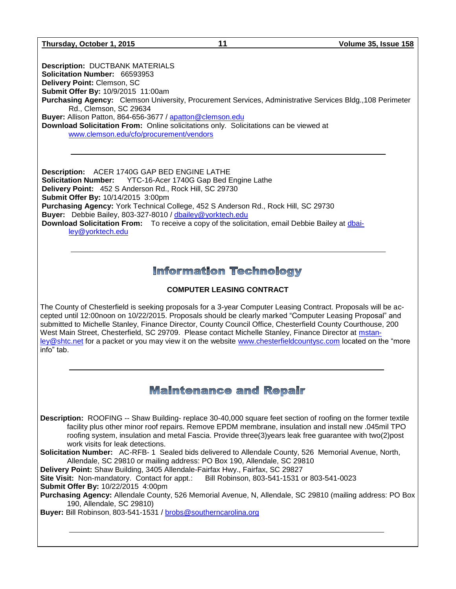**Thursday, October 1, 2015 11 Volume 35, Issue 158**

**Description:** DUCTBANK MATERIALS **Solicitation Number:** 66593953 **Delivery Point:** Clemson, SC **Submit Offer By:** 10/9/2015 11:00am **Purchasing Agency:** Clemson University, Procurement Services, Administrative Services Bldg.,108 Perimeter Rd., Clemson, SC 29634 **Buyer:** Allison Patton, 864-656-3677 / [apatton@clemson.edu](mailto:apatton@clemson.edu) **Download Solicitation From:** Online solicitations only. Solicitations can be viewed at [www.clemson.edu/cfo/procurement/vendors](http://www.clemson.edu/cfo/procurement/vendors)

**Description:** ACER 1740G GAP BED ENGINE LATHE **Solicitation Number:** YTC-16-Acer 1740G Gap Bed Engine Lathe **Delivery Point:** 452 S Anderson Rd., Rock Hill, SC 29730 **Submit Offer By:** 10/14/2015 3:00pm **Purchasing Agency:** York Technical College, 452 S Anderson Rd., Rock Hill, SC 29730 **Buyer:** Debbie Bailey, 803-327-8010 / [dbailey@yorktech.edu](mailto:dbailey@yorktech.edu) **Download Solicitation From:** To receive a copy of the solicitation, email Debbie Bailey at [dbai](mailto:dbailey@yorktech.edu)[ley@yorktech.edu](mailto:dbailey@yorktech.edu) 

# **Information Technology**

## **COMPUTER LEASING CONTRACT**

The County of Chesterfield is seeking proposals for a 3-year Computer Leasing Contract. Proposals will be accepted until 12:00noon on 10/22/2015. Proposals should be clearly marked "Computer Leasing Proposal" and submitted to Michelle Stanley, Finance Director, County Council Office, Chesterfield County Courthouse, 200 West Main Street, Chesterfield, SC 29709. Please contact Michelle Stanley, Finance Director at [mstan](mailto:mstanley@shtc.net)[ley@shtc.net](mailto:mstanley@shtc.net) for a packet or you may view it on the website [www.chesterfieldcountysc.com](http://www.chesterfieldcountysc.com/) located on the "more info" tab.

# **Maintenance and Repair**

**Description:** ROOFING -- Shaw Building- replace 30-40,000 square feet section of roofing on the former textile facility plus other minor roof repairs. Remove EPDM membrane, insulation and install new .045mil TPO roofing system, insulation and metal Fascia. Provide three(3)years leak free guarantee with two(2)post work visits for leak detections.

**Solicitation Number:** AC-RFB- 1 Sealed bids delivered to Allendale County, 526 Memorial Avenue, North, Allendale, SC 29810 or mailing address: PO Box 190, Allendale, SC 29810

**Delivery Point:** Shaw Building, 3405 Allendale-Fairfax Hwy., Fairfax, SC 29827

**Site Visit:** Non-mandatory. Contact for appt.: Bill Robinson, 803-541-1531 or 803-541-0023 **Submit Offer By:** 10/22/2015 4:00pm

**Purchasing Agency:** Allendale County, 526 Memorial Avenue, N, Allendale, SC 29810 (mailing address: PO Box 190, Allendale, SC 29810)

**Buyer:** Bill Robinson, 803-541-1531 / [brobs@southerncarolina.org](mailto:brobs@southerncarolina.org)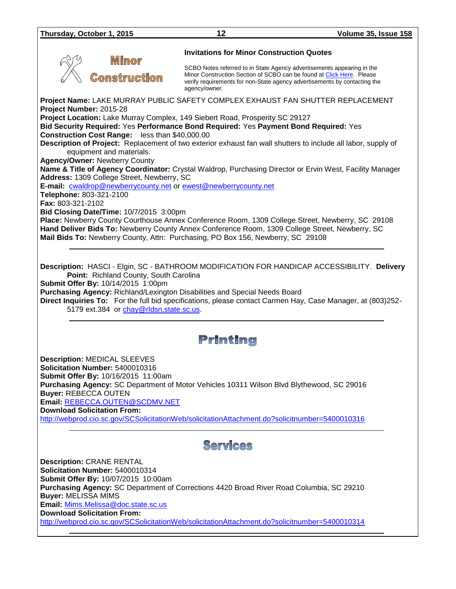**Invitations for Minor Construction Quotes**

SCBO Notes referred to in State Agency advertisements appearing in the Minor Construction Section of SCBO can be found at [Click Here.](http://www.mmo.sc.gov/PS/general/scbo/SCBO_Notes_060512.pdf) Please verify requirements for non-State agency advertisements by contacting the agency/owner.

**Project Name:** LAKE MURRAY PUBLIC SAFETY COMPLEX EXHAUST FAN SHUTTER REPLACEMENT **Project Number:** 2015-28

**Project Location:** Lake Murray Complex, 149 Siebert Road, Prosperity SC 29127

**Bid Security Required:** Yes **Performance Bond Required:** Yes **Payment Bond Required:** Yes **Construction Cost Range:** less than \$40,000.00

**Description of Project:** Replacement of two exterior exhaust fan wall shutters to include all labor, supply of equipment and materials.

**Agency/Owner:** Newberry County

**Name & Title of Agency Coordinator:** Crystal Waldrop, Purchasing Director or Ervin West, Facility Manager **Address:** 1309 College Street, Newberry, SC

**E-mail:** [cwaldrop@newberrycounty.net](mailto:cwaldrop@newberrycounty.net) or [ewest@newberrycounty.net](mailto:ewest@newberrycounty.net)

**Telephone:** 803-321-2100

**Fax:** 803-321-2102

**Bid Closing Date/Time:** 10/7/2015 3:00pm

**Mimor** 

**Comstruction** 

**Place:** Newberry County Courthouse Annex Conference Room, 1309 College Street, Newberry, SC 29108 **Hand Deliver Bids To:** Newberry County Annex Conference Room, 1309 College Street, Newberry, SC **Mail Bids To:** Newberry County, Attn: Purchasing, PO Box 156, Newberry, SC 29108

**Description:** HASCI - Elgin, SC - BATHROOM MODIFICATION FOR HANDICAP ACCESSIBILITY. **Delivery Point:** Richland County, South Carolina

**Submit Offer By:** 10/14/2015 1:00pm

**Purchasing Agency:** Richland/Lexington Disabilities and Special Needs Board

**Direct Inquiries To:** For the full bid specifications, please contact Carmen Hay, Case Manager, at (803)252 5179 ext.384 or [chay@rldsn.state.sc.us.](mailto:chay@rldsn.state.sc.us)

# Printing

**Description:** MEDICAL SLEEVES **Solicitation Number:** 5400010316 **Submit Offer By:** 10/16/2015 11:00am **Purchasing Agency:** SC Department of Motor Vehicles 10311 Wilson Blvd Blythewood, SC 29016 **Buyer:** REBECCA OUTEN **Email:** [REBECCA.OUTEN@SCDMV.NET](mailto:REBECCA.OUTEN@SCDMV.NET)

**Download Solicitation From:** 

<http://webprod.cio.sc.gov/SCSolicitationWeb/solicitationAttachment.do?solicitnumber=5400010316>

# Services

**Description:** CRANE RENTAL **Solicitation Number:** 5400010314 **Submit Offer By:** 10/07/2015 10:00am **Purchasing Agency:** SC Department of Corrections 4420 Broad River Road Columbia, SC 29210 **Buyer:** MELISSA MIMS **Email:** [Mims.Melissa@doc.state.sc.us](mailto:Mims.Melissa@doc.state.sc.us) **Download Solicitation From:**  <http://webprod.cio.sc.gov/SCSolicitationWeb/solicitationAttachment.do?solicitnumber=5400010314>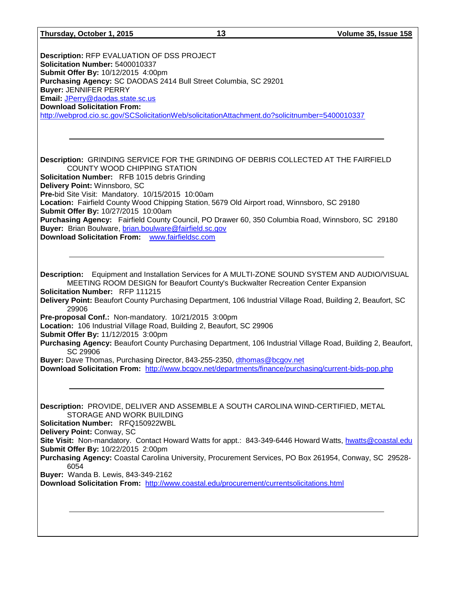| Thursday, October 1, 2015                                                                                                                                                                                                                                                                                                                                                                                                                                                                           | 13 | Volume 35, Issue 158                                                                                                                                                                                                                                                                                                            |
|-----------------------------------------------------------------------------------------------------------------------------------------------------------------------------------------------------------------------------------------------------------------------------------------------------------------------------------------------------------------------------------------------------------------------------------------------------------------------------------------------------|----|---------------------------------------------------------------------------------------------------------------------------------------------------------------------------------------------------------------------------------------------------------------------------------------------------------------------------------|
|                                                                                                                                                                                                                                                                                                                                                                                                                                                                                                     |    |                                                                                                                                                                                                                                                                                                                                 |
| Description: RFP EVALUATION OF DSS PROJECT<br>Solicitation Number: 5400010337<br>Submit Offer By: 10/12/2015 4:00pm<br>Purchasing Agency: SC DAODAS 2414 Bull Street Columbia, SC 29201<br><b>Buyer: JENNIFER PERRY</b><br>Email: JPerry@daodas.state.sc.us<br><b>Download Solicitation From:</b><br>http://webprod.cio.sc.gov/SCSolicitationWeb/solicitationAttachment.do?solicitnumber=5400010337                                                                                                 |    |                                                                                                                                                                                                                                                                                                                                 |
|                                                                                                                                                                                                                                                                                                                                                                                                                                                                                                     |    |                                                                                                                                                                                                                                                                                                                                 |
| Description: GRINDING SERVICE FOR THE GRINDING OF DEBRIS COLLECTED AT THE FAIRFIELD<br>COUNTY WOOD CHIPPING STATION<br>Solicitation Number: RFB 1015 debris Grinding                                                                                                                                                                                                                                                                                                                                |    |                                                                                                                                                                                                                                                                                                                                 |
| Delivery Point: Winnsboro, SC<br>Pre-bid Site Visit: Mandatory. 10/15/2015 10:00am<br>Location: Fairfield County Wood Chipping Station, 5679 Old Airport road, Winnsboro, SC 29180<br>Submit Offer By: 10/27/2015 10:00am                                                                                                                                                                                                                                                                           |    |                                                                                                                                                                                                                                                                                                                                 |
| Purchasing Agency: Fairfield County Council, PO Drawer 60, 350 Columbia Road, Winnsboro, SC 29180<br>Buyer: Brian Boulware, brian.boulware@fairfield.sc.gov<br>Download Solicitation From: www.fairfieldsc.com                                                                                                                                                                                                                                                                                      |    |                                                                                                                                                                                                                                                                                                                                 |
| MEETING ROOM DESIGN for Beaufort County's Buckwalter Recreation Center Expansion<br>Solicitation Number: RFP 111215<br>29906<br>Pre-proposal Conf.: Non-mandatory. 10/21/2015 3:00pm<br>Location: 106 Industrial Village Road, Building 2, Beaufort, SC 29906<br>Submit Offer By: 11/12/2015 3:00pm<br>SC 29906<br>Buyer: Dave Thomas, Purchasing Director, 843-255-2350, dthomas@bcgov.net<br>Download Solicitation From: http://www.bcgov.net/departments/finance/purchasing/current-bids-pop.php |    | Description: Equipment and Installation Services for A MULTI-ZONE SOUND SYSTEM AND AUDIO/VISUAL<br>Delivery Point: Beaufort County Purchasing Department, 106 Industrial Village Road, Building 2, Beaufort, SC<br>Purchasing Agency: Beaufort County Purchasing Department, 106 Industrial Village Road, Building 2, Beaufort, |
| Description: PROVIDE, DELIVER AND ASSEMBLE A SOUTH CAROLINA WIND-CERTIFIED, METAL<br>STORAGE AND WORK BUILDING<br>Solicitation Number: RFQ150922WBL<br>Delivery Point: Conway, SC<br>Submit Offer By: 10/22/2015 2:00pm<br>6054<br>Buyer: Wanda B. Lewis, 843-349-2162<br>Download Solicitation From: http://www.coastal.edu/procurement/currentsolicitations.html                                                                                                                                  |    | Site Visit: Non-mandatory. Contact Howard Watts for appt.: 843-349-6446 Howard Watts, hwatts@coastal.edu<br>Purchasing Agency: Coastal Carolina University, Procurement Services, PO Box 261954, Conway, SC 29528-                                                                                                              |
|                                                                                                                                                                                                                                                                                                                                                                                                                                                                                                     |    |                                                                                                                                                                                                                                                                                                                                 |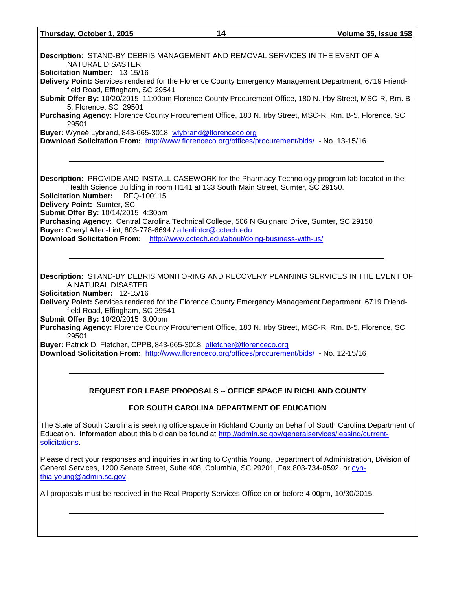**Thursday, October 1, 2015 14 Volume 35, Issue 158 Description:** STAND-BY DEBRIS MANAGEMENT AND REMOVAL SERVICES IN THE EVENT OF A NATURAL DISASTER **Solicitation Number:** 13-15/16 **Delivery Point:** Services rendered for the Florence County Emergency Management Department, 6719 Friendfield Road, Effingham, SC 29541 **Submit Offer By:** 10/20/2015 11:00am Florence County Procurement Office, 180 N. Irby Street, MSC-R, Rm. B-5, Florence, SC 29501 **Purchasing Agency:** Florence County Procurement Office, 180 N. Irby Street, MSC-R, Rm. B-5, Florence, SC 29501 **Buyer:** Wyneé Lybrand, 843-665-3018, [wlybrand@florenceco.org](mailto:wlybrand@florenceco.org) **Download Solicitation From:** <http://www.florenceco.org/offices/procurement/bids/> - No. 13-15/16 **Description:** PROVIDE AND INSTALL CASEWORK for the Pharmacy Technology program lab located in the Health Science Building in room H141 at 133 South Main Street, Sumter, SC 29150. **Solicitation Number:** RFQ-100115 **Delivery Point:** Sumter, SC **Submit Offer By:** 10/14/2015 4:30pm **Purchasing Agency:** Central Carolina Technical College, 506 N Guignard Drive, Sumter, SC 29150 **Buyer:** Cheryl Allen-Lint, 803-778-6694 / [allenlintcr@cctech.edu](mailto:allenlintcr@cctech.edu) **Download Solicitation From:** <http://www.cctech.edu/about/doing-business-with-us/> **Description:** STAND-BY DEBRIS MONITORING AND RECOVERY PLANNING SERVICES IN THE EVENT OF A NATURAL DISASTER **Solicitation Number:** 12-15/16 **Delivery Point:** Services rendered for the Florence County Emergency Management Department, 6719 Friendfield Road, Effingham, SC 29541 **Submit Offer By:** 10/20/2015 3:00pm **Purchasing Agency:** Florence County Procurement Office, 180 N. Irby Street, MSC-R, Rm. B-5, Florence, SC 29501 **Buyer:** Patrick D. Fletcher, CPPB, 843-665-3018, [pfletcher@florenceco.org](mailto:pfletcher@florenceco.org) **Download Solicitation From:** <http://www.florenceco.org/offices/procurement/bids/> - No. 12-15/16 **REQUEST FOR LEASE PROPOSALS -- OFFICE SPACE IN RICHLAND COUNTY FOR SOUTH CAROLINA DEPARTMENT OF EDUCATION**

The State of South Carolina is seeking office space in Richland County on behalf of South Carolina Department of Education. Information about this bid can be found at [http://admin.sc.gov/generalservices/leasing/current](http://admin.sc.gov/generalservices/leasing/current-solicitations)[solicitations.](http://admin.sc.gov/generalservices/leasing/current-solicitations)

Please direct your responses and inquiries in writing to Cynthia Young, Department of Administration, Division of General Services, 1200 Senate Street, Suite 408, Columbia, SC 29201, Fax 803-734-0592, or [cyn](mailto:cynthia.young@admin.sc.gov)[thia.young@admin.sc.gov.](mailto:cynthia.young@admin.sc.gov)

All proposals must be received in the Real Property Services Office on or before 4:00pm, 10/30/2015.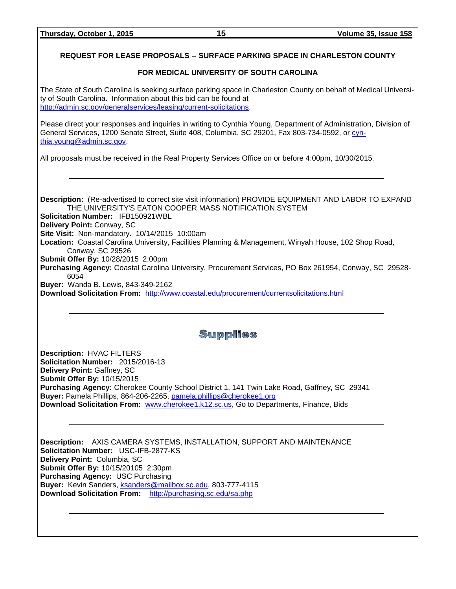#### **REQUEST FOR LEASE PROPOSALS -- SURFACE PARKING SPACE IN CHARLESTON COUNTY**

#### **FOR MEDICAL UNIVERSITY OF SOUTH CAROLINA**

The State of South Carolina is seeking surface parking space in Charleston County on behalf of Medical University of South Carolina. Information about this bid can be found at [http://admin.sc.gov/generalservices/leasing/current-solicitations.](http://admin.sc.gov/generalservices/leasing/current-solicitations)

Please direct your responses and inquiries in writing to Cynthia Young, Department of Administration, Division of General Services, 1200 Senate Street, Suite 408, Columbia, SC 29201, Fax 803-734-0592, or [cyn](mailto:cynthia.young@admin.sc.gov)[thia.young@admin.sc.gov.](mailto:cynthia.young@admin.sc.gov)

All proposals must be received in the Real Property Services Office on or before 4:00pm, 10/30/2015.

**Description:** (Re-advertised to correct site visit information) PROVIDE EQUIPMENT AND LABOR TO EXPAND THE UNIVERSITY'S EATON COOPER MASS NOTIFICATION SYSTEM **Solicitation Number:** IFB150921WBL **Delivery Point:** Conway, SC **Site Visit:** Non-mandatory. 10/14/2015 10:00am **Location:** Coastal Carolina University, Facilities Planning & Management, Winyah House, 102 Shop Road, Conway, SC 29526 **Submit Offer By:** 10/28/2015 2:00pm **Purchasing Agency:** Coastal Carolina University, Procurement Services, PO Box 261954, Conway, SC 29528- 6054 **Buyer:** Wanda B. Lewis, 843-349-2162 **Download Solicitation From:** <http://www.coastal.edu/procurement/currentsolicitations.html>

# Supplies

**Description:** HVAC FILTERS **Solicitation Number:** 2015/2016-13 **Delivery Point:** Gaffney, SC **Submit Offer By:** 10/15/2015 **Purchasing Agency:** Cherokee County School District 1, 141 Twin Lake Road, Gaffney, SC 29341 **Buyer:** Pamela Phillips, 864-206-2265, [pamela.phillips@cherokee1.org](mailto:pamela.phillips@cherokee1.org) **Download Solicitation From:** [www.cherokee1.k12.sc.us,](http://www.cherokee1.k12.sc.us/) Go to Departments, Finance, Bids

**Description:** AXIS CAMERA SYSTEMS, INSTALLATION, SUPPORT AND MAINTENANCE **Solicitation Number:** USC-IFB-2877-KS **Delivery Point:** Columbia, SC **Submit Offer By:** 10/15/20105 2:30pm **Purchasing Agency:** USC Purchasing **Buyer:** Kevin Sanders, [ksanders@mailbox.sc.edu,](mailto:ksanders@mailbox.sc.edu) 803-777-4115 **Download Solicitation From:** <http://purchasing.sc.edu/sa.php>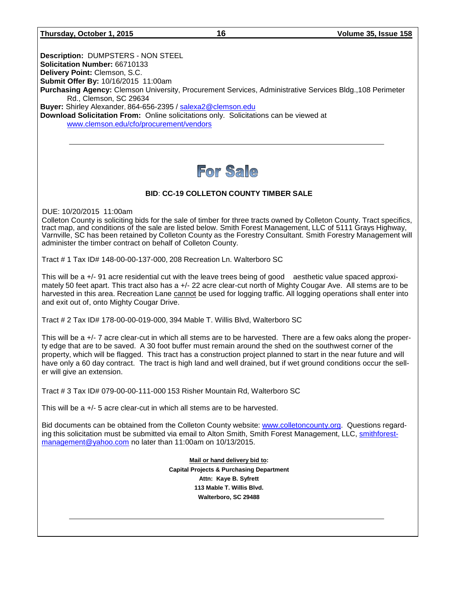#### **Thursday, October 1, 2015 16 Volume 35, Issue 158**

**Description:** DUMPSTERS - NON STEEL **Solicitation Number:** 66710133 **Delivery Point:** Clemson, S.C. **Submit Offer By:** 10/16/2015 11:00am **Purchasing Agency:** Clemson University, Procurement Services, Administrative Services Bldg.,108 Perimeter Rd., Clemson, SC 29634 **Buyer:** Shirley Alexander, 864-656-2395 / [salexa2@clemson.edu](mailto:salexa2@clemson.edu) **Download Solicitation From:** Online solicitations only. Solicitations can be viewed at [www.clemson.edu/cfo/procurement/vendors](http://www.clemson.edu/cfo/procurement/vendors)

# For Sale

## **BID**: **CC-19 COLLETON COUNTY TIMBER SALE**

DUE: 10/20/2015 11:00am

Colleton County is soliciting bids for the sale of timber for three tracts owned by Colleton County. Tract specifics, tract map, and conditions of the sale are listed below. Smith Forest Management, LLC of 5111 Grays Highway, Varnville, SC has been retained by Colleton County as the Forestry Consultant. Smith Forestry Management will administer the timber contract on behalf of Colleton County.

Tract # 1 Tax ID# 148-00-00-137-000, 208 Recreation Ln. Walterboro SC

This will be a +/- 91 acre residential cut with the leave trees being of good aesthetic value spaced approximately 50 feet apart. This tract also has a +/- 22 acre clear-cut north of Mighty Cougar Ave. All stems are to be harvested in this area. Recreation Lane cannot be used for logging traffic. All logging operations shall enter into and exit out of, onto Mighty Cougar Drive.

Tract # 2 Tax ID# 178-00-00-019-000, 394 Mable T. Willis Blvd, Walterboro SC

This will be a +/- 7 acre clear-cut in which all stems are to be harvested. There are a few oaks along the property edge that are to be saved. A 30 foot buffer must remain around the shed on the southwest corner of the property, which will be flagged. This tract has a construction project planned to start in the near future and will have only a 60 day contract. The tract is high land and well drained, but if wet ground conditions occur the seller will give an extension.

Tract # 3 Tax ID# 079-00-00-111-000 153 Risher Mountain Rd, Walterboro SC

This will be a +/- 5 acre clear-cut in which all stems are to be harvested.

Bid documents can be obtained from the Colleton County website: [www.colletoncounty.org.](http://www.colletoncounty.org/) Questions regarding this solicitation must be submitted via email to Alton Smith, Smith Forest Management, LLC, [smithforest](mailto:smithforestmanagement@yahoo.com)[management@yahoo.com](mailto:smithforestmanagement@yahoo.com) no later than 11:00am on 10/13/2015.

> **Mail or hand delivery bid to: Capital Projects & Purchasing Department Attn: Kaye B. Syfrett 113 Mable T. Willis Blvd. Walterboro, SC 29488**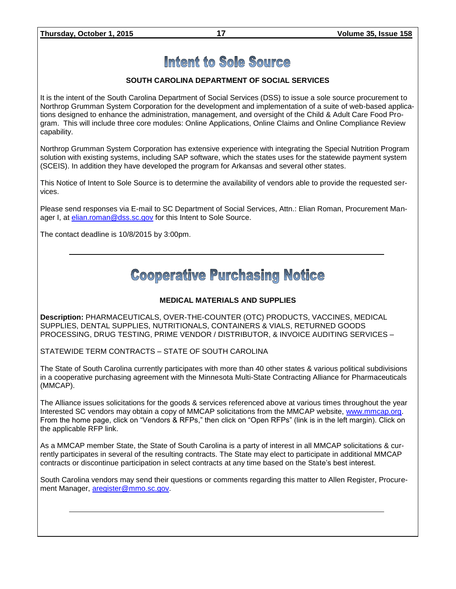### **SOUTH CAROLINA DEPARTMENT OF SOCIAL SERVICES**

It is the intent of the South Carolina Department of Social Services (DSS) to issue a sole source procurement to Northrop Grumman System Corporation for the development and implementation of a suite of web-based applications designed to enhance the administration, management, and oversight of the Child & Adult Care Food Program. This will include three core modules: Online Applications, Online Claims and Online Compliance Review capability.

Northrop Grumman System Corporation has extensive experience with integrating the Special Nutrition Program solution with existing systems, including SAP software, which the states uses for the statewide payment system (SCEIS). In addition they have developed the program for Arkansas and several other states.

This Notice of Intent to Sole Source is to determine the availability of vendors able to provide the requested services.

Please send responses via E-mail to SC Department of Social Services, Attn.: Elian Roman, Procurement Manager I, at *elian.roman@dss.sc.gov* for this Intent to Sole Source.

The contact deadline is 10/8/2015 by 3:00pm.

# **Cooperative Purchasing Notice**

#### **MEDICAL MATERIALS AND SUPPLIES**

**Description:** PHARMACEUTICALS, OVER-THE-COUNTER (OTC) PRODUCTS, VACCINES, MEDICAL SUPPLIES, DENTAL SUPPLIES, NUTRITIONALS, CONTAINERS & VIALS, RETURNED GOODS PROCESSING, DRUG TESTING, PRIME VENDOR / DISTRIBUTOR, & INVOICE AUDITING SERVICES –

STATEWIDE TERM CONTRACTS – STATE OF SOUTH CAROLINA

The State of South Carolina currently participates with more than 40 other states & various political subdivisions in a cooperative purchasing agreement with the Minnesota Multi-State Contracting Alliance for Pharmaceuticals (MMCAP).

The Alliance issues solicitations for the goods & services referenced above at various times throughout the year Interested SC vendors may obtain a copy of MMCAP solicitations from the MMCAP website, [www.mmcap.org.](http://www.mmcap.org/) From the home page, click on "Vendors & RFPs," then click on "Open RFPs" (link is in the left margin). Click on the applicable RFP link.

As a MMCAP member State, the State of South Carolina is a party of interest in all MMCAP solicitations & currently participates in several of the resulting contracts. The State may elect to participate in additional MMCAP contracts or discontinue participation in select contracts at any time based on the State's best interest.

South Carolina vendors may send their questions or comments regarding this matter to Allen Register, Procurement Manager, [aregister@mmo.sc.gov.](mailto:aregister@mmo.sc.gov)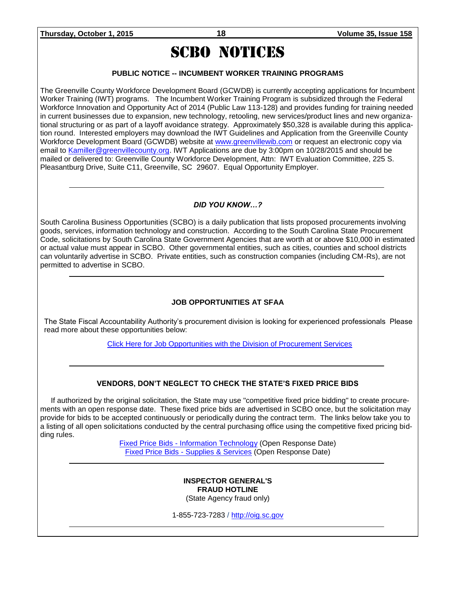# SCBO NOTICES

## **PUBLIC NOTICE -- INCUMBENT WORKER TRAINING PROGRAMS**

The Greenville County Workforce Development Board (GCWDB) is currently accepting applications for Incumbent Worker Training (IWT) programs. The Incumbent Worker Training Program is subsidized through the Federal Workforce Innovation and Opportunity Act of 2014 (Public Law 113-128) and provides funding for training needed in current businesses due to expansion, new technology, retooling, new services/product lines and new organizational structuring or as part of a layoff avoidance strategy. Approximately \$50,328 is available during this application round. Interested employers may download the IWT Guidelines and Application from the Greenville County Workforce Development Board (GCWDB) website at [www.greenvillewib.com](http://www.greenvillewib.com/) or request an electronic copy via email to [Kamiller@greenvillecounty.org.](mailto:Kamiller@greenvillecounty.org) IWT Applications are due by 3:00pm on 10/28/2015 and should be mailed or delivered to: Greenville County Workforce Development, Attn: IWT Evaluation Committee, 225 S. Pleasantburg Drive, Suite C11, Greenville, SC 29607. Equal Opportunity Employer.

#### *DID YOU KNOW…?*

South Carolina Business Opportunities (SCBO) is a daily publication that lists proposed procurements involving goods, services, information technology and construction. According to the South Carolina State Procurement Code, solicitations by South Carolina State Government Agencies that are worth at or above \$10,000 in estimated or actual value must appear in SCBO. Other governmental entities, such as cities, counties and school districts can voluntarily advertise in SCBO. Private entities, such as construction companies (including CM-Rs), are not permitted to advertise in SCBO.

## **JOB OPPORTUNITIES AT SFAA**

The State Fiscal Accountability Authority's procurement division is looking for experienced professionals Please read more about these opportunities below:

[Click Here for Job Opportunities with the Division of Procurement Services](http://procurement.sc.gov/webfiles/MMO_scbo/SCBO%20Online/SFAA_job_opportunities.pdf)

## **VENDORS, DON'T NEGLECT TO CHECK THE STATE'S FIXED PRICE BIDS**

If authorized by the original solicitation, the State may use "competitive fixed price bidding" to create procurements with an open response date. These fixed price bids are advertised in SCBO once, but the solicitation may provide for bids to be accepted continuously or periodically during the contract term. The links below take you to a listing of all open solicitations conducted by the central purchasing office using the competitive fixed pricing bidding rules.

> Fixed Price Bids - [Information Technology](http://www.mmo.sc.gov/PS/vendor/PS-vendor-fixed-price-bids-it.phtm) (Open Response Date) Fixed Price Bids - [Supplies & Services](http://www.mmo.sc.gov/PS/vendor/PS-vendor-fixed-price-bids-ss.phtm) (Open Response Date)

#### **INSPECTOR GENERAL'S FRAUD HOTLINE** (State Agency fraud only)

1-855-723-7283 / [http://oig.sc.gov](http://oig.sc.gov/)